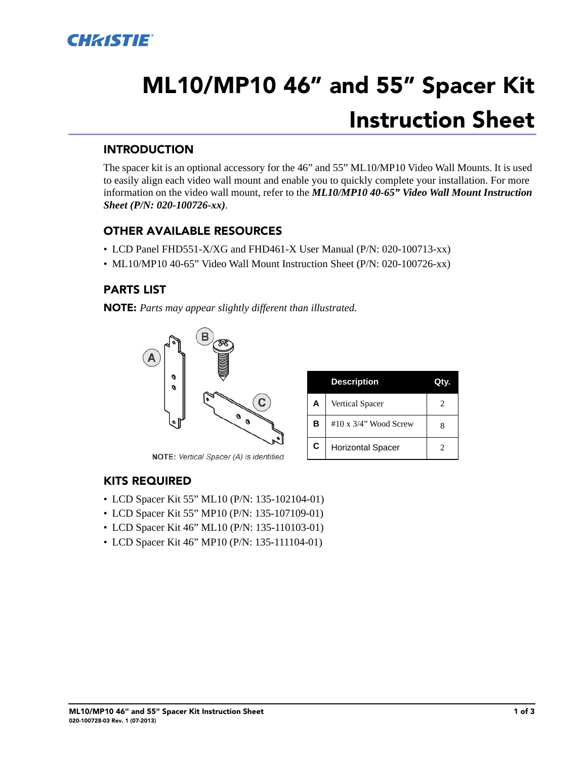

# **ML10/MP10 46" and 55" Spacer Kit Instruction Sheet**

#### **INTRODUCTION**

The spacer kit is an optional accessory for the 46" and 55" ML10/MP10 Video Wall Mounts. It is used to easily align each video wall mount and enable you to quickly complete your installation. For more information on the video wall mount, refer to the *ML10/MP10 40-65" Video Wall Mount Instruction Sheet (P/N: 020-100726-xx)*.

#### **OTHER AVAILABLE RESOURCES**

- LCD Panel FHD551-X/XG and FHD461-X User Manual (P/N: 020-100713-xx)
- ML10/MP10 40-65" Video Wall Mount Instruction Sheet (P/N: 020-100726-xx)

#### **PARTS LIST**

**NOTE:** *Parts may appear slightly different than illustrated.*



NOTE: Vertical Spacer (A) is identified

|   | <b>Description</b>            |   |
|---|-------------------------------|---|
| A | <b>Vertical Spacer</b>        | 2 |
| в | $#10 \times 3/4$ " Wood Screw | x |
| C | <b>Horizontal Spacer</b>      |   |

#### **KITS REQUIRED**

- LCD Spacer Kit 55" ML10 (P/N: 135-102104-01)
- LCD Spacer Kit 55" MP10 (P/N: 135-107109-01)
- LCD Spacer Kit 46" ML10 (P/N: 135-110103-01)
- LCD Spacer Kit 46" MP10 (P/N: 135-111104-01)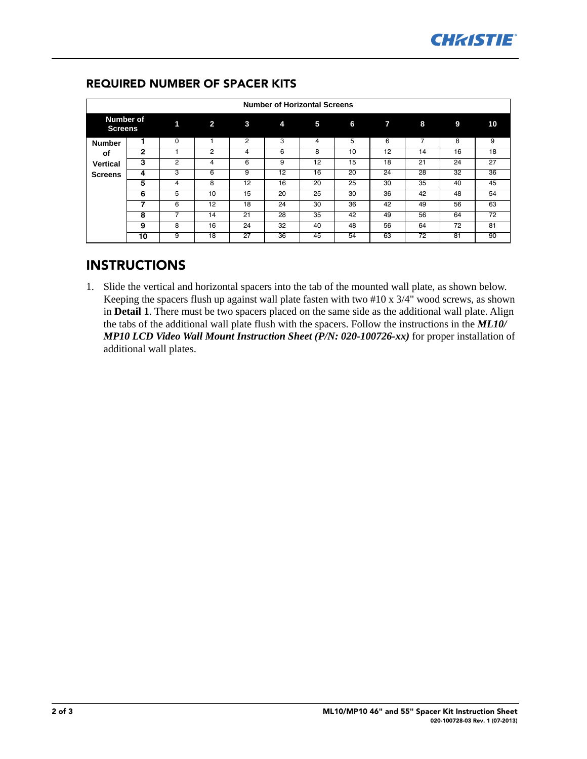| <b>Number of Horizontal Screens</b>     |    |                |                |                |    |                 |    |              |                |    |                 |  |  |
|-----------------------------------------|----|----------------|----------------|----------------|----|-----------------|----|--------------|----------------|----|-----------------|--|--|
| <b>Number of</b><br><b>Screens</b>      |    | 1              | $\overline{2}$ | 3              | 4  | 5               | 6  | $\mathbf{7}$ | 8              | 9  | 10              |  |  |
| <b>Number</b>                           |    | $\Omega$       | ٠              | $\overline{2}$ | 3  | 4               | 5  | 6            | $\overline{7}$ | 8  | 9               |  |  |
| оf<br><b>Vertical</b><br><b>Screens</b> | 2  |                | 2              | 4              | 6  | 8               | 10 | 12           | 14             | 16 | 18              |  |  |
|                                         | 3  | $\overline{2}$ | 4              | 6              | 9  | 12              | 15 | 18           | 21             | 24 | 27              |  |  |
|                                         | 4  | 3              | 6              | 9              | 12 | 16              | 20 | 24           | 28             | 32 | 36              |  |  |
|                                         | 5  | 4              | 8              | 12             | 16 | 20              | 25 | 30           | 35             | 40 | 45              |  |  |
|                                         | 6  | 5              | 10             | 15             | 20 | 25              | 30 | 36           | 42             | 48 | 54              |  |  |
|                                         | 7  | 6              | 12             | 18             | 24 | 30              | 36 | 42           | 49             | 56 | 63              |  |  |
|                                         | 8  | 7              | 14             | 21             | 28 | $\overline{35}$ | 42 | 49           | 56             | 64 | $\overline{72}$ |  |  |
|                                         | 9  | 8              | 16             | 24             | 32 | 40              | 48 | 56           | 64             | 72 | 81              |  |  |
|                                         | 10 | 9              | 18             | 27             | 36 | 45              | 54 | 63           | 72             | 81 | 90              |  |  |

### **REQUIRED NUMBER OF SPACER KITS**

## **INSTRUCTIONS**

1. Slide the vertical and horizontal spacers into the tab of the mounted wall plate, as shown below. Keeping the spacers flush up against wall plate fasten with two #10 x 3/4" wood screws, as shown in **Detail 1**. There must be two spacers placed on the same side as the additional wall plate. Align the tabs of the additional wall plate flush with the spacers. Follow the instructions in the *ML10/ MP10 LCD Video Wall Mount Instruction Sheet (P/N: 020-100726-xx)* for proper installation of additional wall plates.